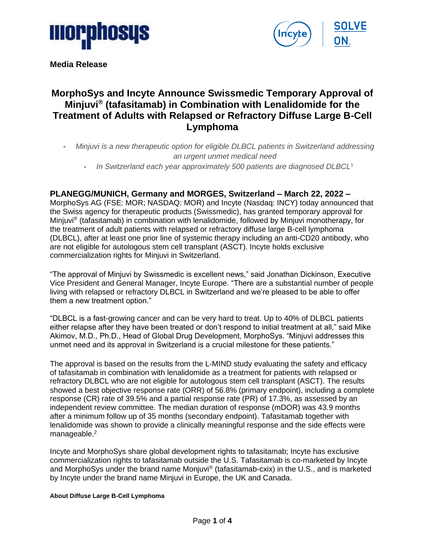



**Media Release**

# **MorphoSys and Incyte Announce Swissmedic Temporary Approval of Minjuvi® (tafasitamab) in Combination with Lenalidomide for the Treatment of Adults with Relapsed or Refractory Diffuse Large B-Cell Lymphoma**

- *Minjuvi is a new therapeutic option for eligible DLBCL patients in Switzerland addressing an urgent unmet medical need*

- *In Switzerland each year approximately 500 patients are diagnosed DLBCL*<sup>1</sup>

# **PLANEGG/MUNICH, Germany and MORGES, Switzerland – March 22, 2022 –**

MorphoSys AG (FSE: MOR; NASDAQ: MOR) and Incyte (Nasdaq: INCY) today announced that the Swiss agency for therapeutic products (Swissmedic), has granted temporary approval for Minjuvi® (tafasitamab) in combination with lenalidomide, followed by Minjuvi monotherapy, for the treatment of adult patients with relapsed or refractory diffuse large B-cell lymphoma (DLBCL), after at least one prior line of systemic therapy including an anti-CD20 antibody, who are not eligible for autologous stem cell transplant (ASCT). Incyte holds exclusive commercialization rights for Minjuvi in Switzerland.

"The approval of Minjuvi by Swissmedic is excellent news," said Jonathan Dickinson, Executive Vice President and General Manager, Incyte Europe. "There are a substantial number of people living with relapsed or refractory DLBCL in Switzerland and we're pleased to be able to offer them a new treatment option."

"DLBCL is a fast-growing cancer and can be very hard to treat. Up to 40% of DLBCL patients either relapse after they have been treated or don't respond to initial treatment at all," said Mike Akimov, M.D., Ph.D., Head of Global Drug Development, MorphoSys. "Minjuvi addresses this unmet need and its approval in Switzerland is a crucial milestone for these patients."

The approval is based on the results from the L-MIND study evaluating the safety and efficacy of tafasitamab in combination with lenalidomide as a treatment for patients with relapsed or refractory DLBCL who are not eligible for autologous stem cell transplant (ASCT). The results showed a best objective response rate (ORR) of 56.8% (primary endpoint), including a complete response (CR) rate of 39.5% and a partial response rate (PR) of 17.3%, as assessed by an independent review committee. The median duration of response (mDOR) was 43.9 months after a minimum follow up of 35 months (secondary endpoint). Tafasitamab together with lenalidomide was shown to provide a clinically meaningful response and the side effects were manageable.<sup>2</sup>

Incyte and MorphoSys share global development rights to tafasitamab; Incyte has exclusive commercialization rights to tafasitamab outside the U.S. Tafasitamab is co-marketed by Incyte and MorphoSys under the brand name Monjuvi® (tafasitamab-cxix) in the U.S., and is marketed by Incyte under the brand name Minjuvi in Europe, the UK and Canada.

#### **About Diffuse Large B-Cell Lymphoma**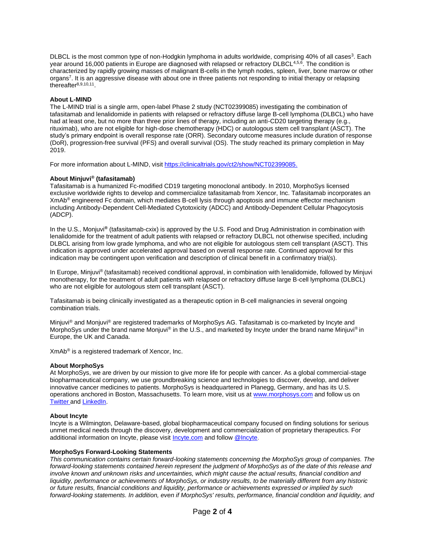DLBCL is the most common type of non-Hodgkin lymphoma in adults worldwide, comprising 40% of all cases<sup>3</sup>. Each year around 16,000 patients in Europe are diagnosed with relapsed or refractory DLBCL<sup>4,5,6</sup>. The condition is characterized by rapidly growing masses of malignant B-cells in the lymph nodes, spleen, liver, bone marrow or other organs<sup>7</sup>. It is an aggressive disease with about one in three patients not responding to initial therapy or relapsing thereafter<sup>8,9,10,11</sup>.

#### **About L-MIND**

The L-MIND trial is a single arm, open-label Phase 2 study (NCT02399085) investigating the combination of tafasitamab and lenalidomide in patients with relapsed or refractory diffuse large B-cell lymphoma (DLBCL) who have had at least one, but no more than three prior lines of therapy, including an anti-CD20 targeting therapy (e.g., rituximab), who are not eligible for high-dose chemotherapy (HDC) or autologous stem cell transplant (ASCT). The study's primary endpoint is overall response rate (ORR). Secondary outcome measures include duration of response (DoR), progression-free survival (PFS) and overall survival (OS). The study reached its primary completion in May 2019.

For more information about L-MIND, visit [https://clinicaltrials.gov/ct2/show/NCT02399085.](https://cts.businesswire.com/ct/CT?id=smartlink&url=https%3A%2F%2Fclinicaltrials.gov%2Fct2%2Fshow%2FNCT02399085&esheet=52259590&newsitemid=20200731005497&lan=en-US&anchor=https%3A%2F%2Fclinicaltrials.gov%2Fct2%2Fshow%2FNCT02399085&index=4&md5=0b46fb3966d91386db084f2d964c9dd2)

#### **About Minjuvi® (tafasitamab)**

Tafasitamab is a humanized Fc-modified CD19 targeting monoclonal antibody. In 2010, MorphoSys licensed exclusive worldwide rights to develop and commercialize tafasitamab from Xencor, Inc. Tafasitamab incorporates an XmAb® engineered Fc domain, which mediates B-cell lysis through apoptosis and immune effector mechanism including Antibody-Dependent Cell-Mediated Cytotoxicity (ADCC) and Antibody-Dependent Cellular Phagocytosis (ADCP).

In the U.S., Monjuvi**®** (tafasitamab-cxix) is approved by the U.S. Food and Drug Administration in combination with lenalidomide for the treatment of adult patients with relapsed or refractory DLBCL not otherwise specified, including DLBCL arising from low grade lymphoma, and who are not eligible for autologous stem cell transplant (ASCT). This indication is approved under accelerated approval based on overall response rate. Continued approval for this indication may be contingent upon verification and description of clinical benefit in a confirmatory trial(s).

In Europe, Minjuvi® (tafasitamab) received conditional approval, in combination with lenalidomide, followed by Minjuvi monotherapy, for the treatment of adult patients with relapsed or refractory diffuse large B-cell lymphoma (DLBCL) who are not eligible for autologous stem cell transplant (ASCT).

Tafasitamab is being clinically investigated as a therapeutic option in B-cell malignancies in several ongoing combination trials.

Minjuvi® and Monjuvi® are registered trademarks of MorphoSys AG. Tafasitamab is co-marketed by Incyte and MorphoSys under the brand name Monjuvi® in the U.S., and marketed by Incyte under the brand name Minjuvi® in Europe, the UK and Canada.

XmAb® is a registered trademark of Xencor, Inc.

#### **About MorphoSys**

At MorphoSys, we are driven by our mission to give more life for people with cancer. As a global commercial-stage biopharmaceutical company, we use groundbreaking science and technologies to discover, develop, and deliver innovative cancer medicines to patients. MorphoSys is headquartered in Planegg, Germany, and has its U.S. operations anchored in Boston, Massachusetts. To learn more, visit us at [www.morphosys.com](http://www.morphosys.com/) and follow us on [Twitter](https://twitter.com/morphosys) and [LinkedIn.](https://www.linkedin.com/company/morphosys/)

#### **About Incyte**

Incyte is a Wilmington, Delaware-based, global biopharmaceutical company focused on finding solutions for serious unmet medical needs through the discovery, development and commercialization of proprietary therapeutics. For additional information on Incyte, please visi[t Incyte.com](http://www.incyte.com/) and follo[w @Incyte.](https://twitter.com/Incyte)

#### **MorphoSys Forward-Looking Statements**

*This communication contains certain forward-looking statements concerning the MorphoSys group of companies. The forward-looking statements contained herein represent the judgment of MorphoSys as of the date of this release and involve known and unknown risks and uncertainties, which might cause the actual results, financial condition and liquidity, performance or achievements of MorphoSys, or industry results, to be materially different from any historic or future results, financial conditions and liquidity, performance or achievements expressed or implied by such forward-looking statements. In addition, even if MorphoSys' results, performance, financial condition and liquidity, and*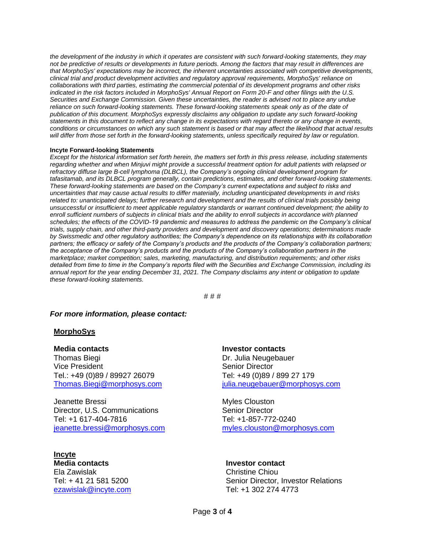*the development of the industry in which it operates are consistent with such forward-looking statements, they may not be predictive of results or developments in future periods. Among the factors that may result in differences are that MorphoSys' expectations may be incorrect, the inherent uncertainties associated with competitive developments, clinical trial and product development activities and regulatory approval requirements, MorphoSys' reliance on collaborations with third parties, estimating the commercial potential of its development programs and other risks indicated in the risk factors included in MorphoSys' Annual Report on Form 20-F and other filings with the U.S. Securities and Exchange Commission. Given these uncertainties, the reader is advised not to place any undue*  reliance on such forward-looking statements. These forward-looking statements speak only as of the date of *publication of this document. MorphoSys expressly disclaims any obligation to update any such forward-looking statements in this document to reflect any change in its expectations with regard thereto or any change in events, conditions or circumstances on which any such statement is based or that may affect the likelihood that actual results will differ from those set forth in the forward-looking statements, unless specifically required by law or regulation.*

#### **Incyte Forward-looking Statements**

*Except for the historical information set forth herein, the matters set forth in this press release, including statements regarding whether and when Minjuvi might provide a successful treatment option for adult patients with relapsed or refractory diffuse large B-cell lymphoma (DLBCL), the Company's ongoing clinical development program for tafasitamab, and its DLBCL program generally, contain predictions, estimates, and other forward-looking statements. These forward-looking statements are based on the Company's current expectations and subject to risks and uncertainties that may cause actual results to differ materially, including unanticipated developments in and risks related to: unanticipated delays; further research and development and the results of clinical trials possibly being unsuccessful or insufficient to meet applicable regulatory standards or warrant continued development; the ability to*  enroll sufficient numbers of subjects in clinical trials and the ability to enroll subjects in accordance with planned *schedules; the effects of the COVID-19 pandemic and measures to address the pandemic on the Company's clinical trials, supply chain, and other third-party providers and development and discovery operations; determinations made by Swissmedic and other regulatory authorities; the Company's dependence on its relationships with its collaboration partners; the efficacy or safety of the Company's products and the products of the Company's collaboration partners; the acceptance of the Company's products and the products of the Company's collaboration partners in the marketplace; market competition; sales, marketing, manufacturing, and distribution requirements; and other risks detailed from time to time in the Company's reports filed with the Securities and Exchange Commission, including its annual report for the year ending December 31, 2021. The Company disclaims any intent or obligation to update these forward-looking statements.*

**# # #**

#### *For more information, please contact:*

#### **MorphoSys**

**Media contacts** Thomas Biegi Vice President Tel.: +49 (0)89 / 89927 26079 [Thomas.Biegi@morphosys.com](mailto:Thomas.Biegi@morphosys.com)

Jeanette Bressi Director, U.S. Communications Tel: +1 617-404-7816 [jeanette.bressi@morphosys.com](mailto:jeanette.bressi@morphosys.com)

**Incyte Media contacts** Ela Zawislak Tel: + 41 21 581 5200 [ezawislak@incyte.com](mailto:ezawislak@incyte.com) **Investor contacts** Dr. Julia Neugebauer Senior Director Tel: +49 (0)89 / 899 27 179 [julia.neugebauer@morphosys.com](mailto:julia.neugebauer@morphosys.com)

Myles Clouston Senior Director Tel: +1-857-772-0240 [myles.clouston@morphosys.com](mailto:myles.clouston@morphosys.com)

### **Investor contact**

Christine Chiou Senior Director, Investor Relations Tel: +1 302 274 4773